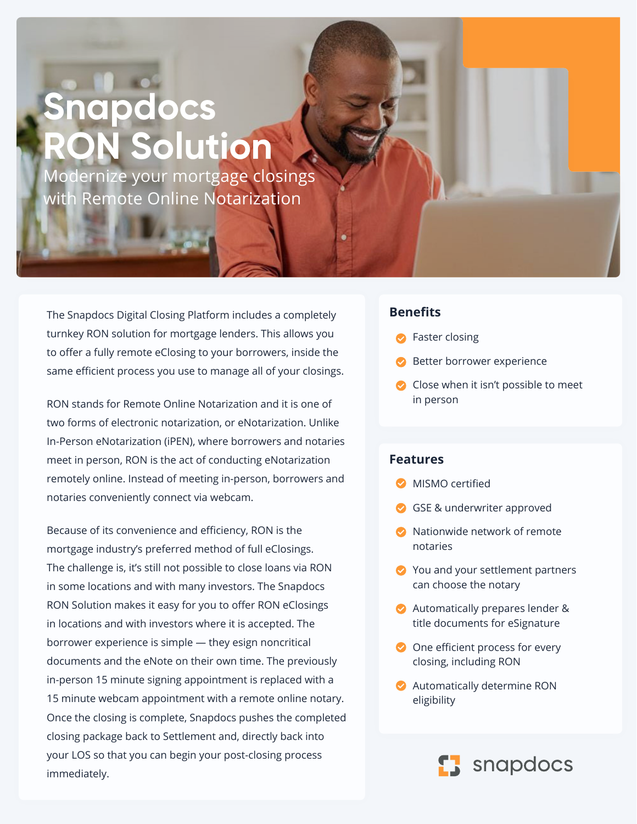## **Snapdocs R** Solution

Modernize your mortgage closings with Remote Online Notarization

The Snapdocs Digital Closing Platform includes a completely turnkey RON solution for mortgage lenders. This allows you to offer a fully remote eClosing to your borrowers, inside the same efficient process you use to manage all of your closings.

RON stands for Remote Online Notarization and it is one of two forms of electronic notarization, or eNotarization. Unlike In-Person eNotarization (iPEN), where borrowers and notaries meet in person, RON is the act of conducting eNotarization remotely online. Instead of meeting in-person, borrowers and notaries conveniently connect via webcam.

Because of its convenience and efficiency, RON is the mortgage industry's preferred method of full eClosings. The challenge is, it's still not possible to close loans via RON in some locations and with many investors. The Snapdocs RON Solution makes it easy for you to offer RON eClosings in locations and with investors where it is accepted. The borrower experience is simple — they esign noncritical documents and the eNote on their own time. The previously in-person 15 minute signing appointment is replaced with a 15 minute webcam appointment with a remote online notary. Once the closing is complete, Snapdocs pushes the completed closing package back to Settlement and, directly back into your LOS so that you can begin your post-closing process immediately.

## **Benefits**

- Faster closing
- Better borrower experience
- Close when it isn't possible to meet in person

## **Features**

- **MISMO certified**
- GSE & underwriter approved
- **O** Nationwide network of remote notaries
- You and your settlement partners can choose the notary
- Automatically prepares lender & title documents for eSignature
- One efficient process for every closing, including RON
- Automatically determine RON eligibility